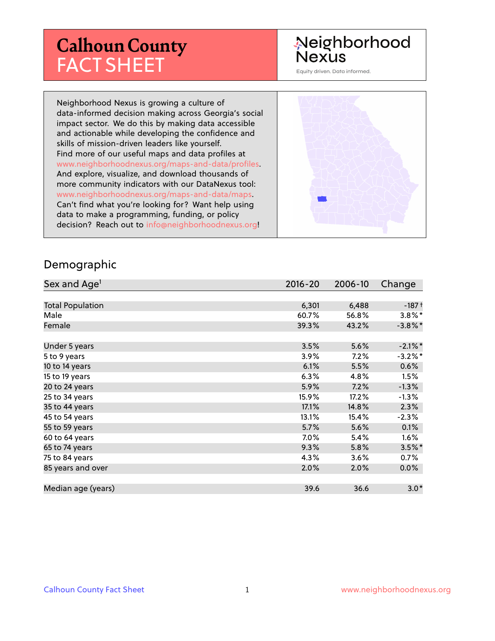# **Calhoun County** FACT SHEET

# Neighborhood **Nexus**

Equity driven. Data informed.

Neighborhood Nexus is growing a culture of data-informed decision making across Georgia's social impact sector. We do this by making data accessible and actionable while developing the confidence and skills of mission-driven leaders like yourself. Find more of our useful maps and data profiles at www.neighborhoodnexus.org/maps-and-data/profiles. And explore, visualize, and download thousands of more community indicators with our DataNexus tool: www.neighborhoodnexus.org/maps-and-data/maps. Can't find what you're looking for? Want help using data to make a programming, funding, or policy decision? Reach out to [info@neighborhoodnexus.org!](mailto:info@neighborhoodnexus.org)



#### Demographic

| Sex and Age <sup>1</sup> | $2016 - 20$ | 2006-10 | Change     |
|--------------------------|-------------|---------|------------|
|                          |             |         |            |
| <b>Total Population</b>  | 6,301       | 6,488   | $-187+$    |
| Male                     | 60.7%       | 56.8%   | $3.8\%$ *  |
| Female                   | 39.3%       | 43.2%   | $-3.8\%$ * |
|                          |             |         |            |
| Under 5 years            | 3.5%        | 5.6%    | $-2.1\%$ * |
| 5 to 9 years             | $3.9\%$     | 7.2%    | $-3.2\%$ * |
| 10 to 14 years           | 6.1%        | 5.5%    | $0.6\%$    |
| 15 to 19 years           | 6.3%        | 4.8%    | 1.5%       |
| 20 to 24 years           | 5.9%        | 7.2%    | $-1.3%$    |
| 25 to 34 years           | 15.9%       | 17.2%   | $-1.3%$    |
| 35 to 44 years           | 17.1%       | 14.8%   | 2.3%       |
| 45 to 54 years           | 13.1%       | 15.4%   | $-2.3%$    |
| 55 to 59 years           | 5.7%        | 5.6%    | 0.1%       |
| 60 to 64 years           | 7.0%        | 5.4%    | $1.6\%$    |
| 65 to 74 years           | 9.3%        | 5.8%    | $3.5\%$ *  |
| 75 to 84 years           | 4.3%        | 3.6%    | $0.7\%$    |
| 85 years and over        | 2.0%        | 2.0%    | 0.0%       |
|                          |             |         |            |
| Median age (years)       | 39.6        | 36.6    | $3.0*$     |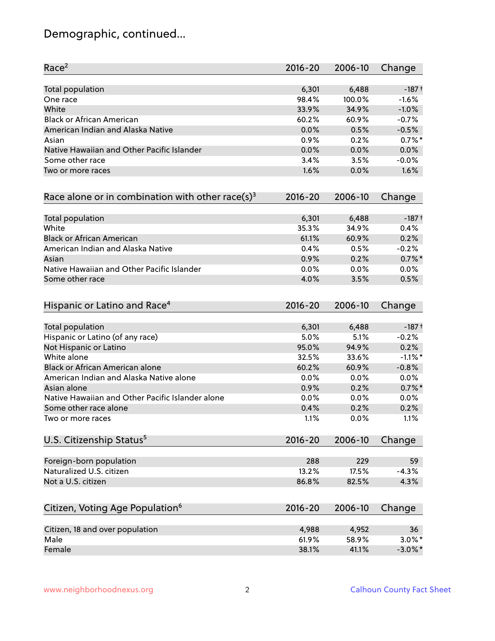# Demographic, continued...

| Race <sup>2</sup>                                            | $2016 - 20$ | 2006-10 | Change     |
|--------------------------------------------------------------|-------------|---------|------------|
| <b>Total population</b>                                      | 6,301       | 6,488   | $-187+$    |
| One race                                                     | 98.4%       | 100.0%  | $-1.6%$    |
| White                                                        | 33.9%       | 34.9%   | $-1.0%$    |
| <b>Black or African American</b>                             | 60.2%       | 60.9%   | $-0.7%$    |
| American Indian and Alaska Native                            | 0.0%        | 0.5%    | $-0.5%$    |
| Asian                                                        | 0.9%        | 0.2%    | $0.7%$ *   |
| Native Hawaiian and Other Pacific Islander                   | 0.0%        | 0.0%    | 0.0%       |
| Some other race                                              | 3.4%        | 3.5%    | $-0.0%$    |
| Two or more races                                            | 1.6%        | 0.0%    | 1.6%       |
| Race alone or in combination with other race(s) <sup>3</sup> | $2016 - 20$ | 2006-10 | Change     |
| Total population                                             | 6,301       | 6,488   | $-187+$    |
| White                                                        | 35.3%       | 34.9%   | 0.4%       |
| <b>Black or African American</b>                             | 61.1%       | 60.9%   | 0.2%       |
| American Indian and Alaska Native                            | 0.4%        | 0.5%    | $-0.2%$    |
| Asian                                                        | 0.9%        | 0.2%    | $0.7%$ *   |
| Native Hawaiian and Other Pacific Islander                   | 0.0%        | 0.0%    | 0.0%       |
| Some other race                                              | 4.0%        | 3.5%    | 0.5%       |
| Hispanic or Latino and Race <sup>4</sup>                     | $2016 - 20$ | 2006-10 | Change     |
| <b>Total population</b>                                      | 6,301       | 6,488   | $-187+$    |
| Hispanic or Latino (of any race)                             | 5.0%        | 5.1%    | $-0.2%$    |
| Not Hispanic or Latino                                       | 95.0%       | 94.9%   | 0.2%       |
| White alone                                                  | 32.5%       | 33.6%   | $-1.1\%$ * |
| Black or African American alone                              | 60.2%       | 60.9%   | $-0.8%$    |
| American Indian and Alaska Native alone                      | 0.0%        | 0.0%    | 0.0%       |
| Asian alone                                                  | 0.9%        | 0.2%    | $0.7%$ *   |
| Native Hawaiian and Other Pacific Islander alone             | 0.0%        | 0.0%    | 0.0%       |
| Some other race alone                                        | 0.4%        | 0.2%    | 0.2%       |
| Two or more races                                            | 1.1%        | 0.0%    | 1.1%       |
| U.S. Citizenship Status <sup>5</sup>                         | $2016 - 20$ | 2006-10 | Change     |
| Foreign-born population                                      | 288         | 229     | 59         |
| Naturalized U.S. citizen                                     | 13.2%       | 17.5%   | $-4.3%$    |
| Not a U.S. citizen                                           | 86.8%       | 82.5%   | 4.3%       |
| Citizen, Voting Age Population <sup>6</sup>                  | $2016 - 20$ | 2006-10 | Change     |
| Citizen, 18 and over population                              | 4,988       | 4,952   | 36         |
| Male                                                         | 61.9%       | 58.9%   | $3.0\%$ *  |
| Female                                                       | 38.1%       | 41.1%   | $-3.0\%$ * |
|                                                              |             |         |            |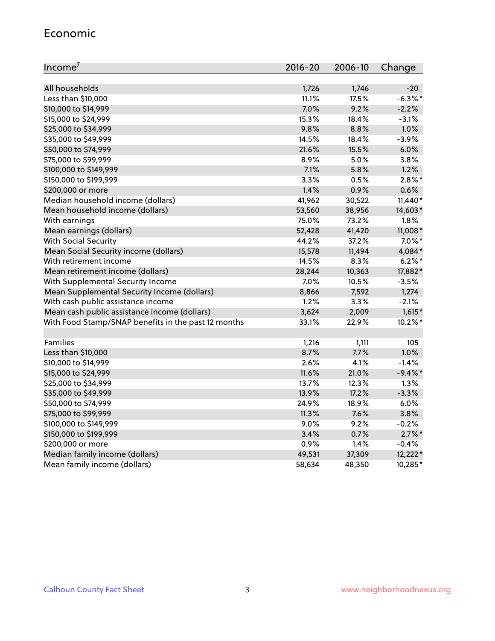#### Economic

| Income <sup>7</sup>                                 | $2016 - 20$ | 2006-10 | Change     |
|-----------------------------------------------------|-------------|---------|------------|
|                                                     |             |         |            |
| All households                                      | 1,726       | 1,746   | $-20$      |
| Less than \$10,000                                  | 11.1%       | 17.5%   | $-6.3\%$ * |
| \$10,000 to \$14,999                                | 7.0%        | 9.2%    | $-2.2%$    |
| \$15,000 to \$24,999                                | 15.3%       | 18.4%   | $-3.1%$    |
| \$25,000 to \$34,999                                | 9.8%        | 8.8%    | 1.0%       |
| \$35,000 to \$49,999                                | 14.5%       | 18.4%   | $-3.9%$    |
| \$50,000 to \$74,999                                | 21.6%       | 15.5%   | 6.0%       |
| \$75,000 to \$99,999                                | 8.9%        | 5.0%    | 3.8%       |
| \$100,000 to \$149,999                              | 7.1%        | 5.8%    | 1.2%       |
| \$150,000 to \$199,999                              | 3.3%        | 0.5%    | $2.8\%$ *  |
| \$200,000 or more                                   | 1.4%        | 0.9%    | 0.6%       |
| Median household income (dollars)                   | 41,962      | 30,522  | $11,440*$  |
| Mean household income (dollars)                     | 53,560      | 38,956  | 14,603*    |
| With earnings                                       | 75.0%       | 73.2%   | 1.8%       |
| Mean earnings (dollars)                             | 52,428      | 41,420  | 11,008*    |
| <b>With Social Security</b>                         | 44.2%       | 37.2%   | $7.0\%$ *  |
| Mean Social Security income (dollars)               | 15,578      | 11,494  | 4,084*     |
| With retirement income                              | 14.5%       | 8.3%    | $6.2\%$ *  |
| Mean retirement income (dollars)                    | 28,244      | 10,363  | 17,882*    |
| With Supplemental Security Income                   | 7.0%        | 10.5%   | $-3.5%$    |
| Mean Supplemental Security Income (dollars)         | 8,866       | 7,592   | 1,274      |
| With cash public assistance income                  | 1.2%        | 3.3%    | $-2.1%$    |
| Mean cash public assistance income (dollars)        | 3,624       | 2,009   | $1,615*$   |
| With Food Stamp/SNAP benefits in the past 12 months | 33.1%       | 22.9%   | 10.2%*     |
|                                                     |             |         |            |
| Families                                            | 1,216       | 1,111   | 105        |
| Less than \$10,000                                  | 8.7%        | 7.7%    | 1.0%       |
| \$10,000 to \$14,999                                | 2.6%        | 4.1%    | $-1.4%$    |
| \$15,000 to \$24,999                                | 11.6%       | 21.0%   | $-9.4%$ *  |
| \$25,000 to \$34,999                                | 13.7%       | 12.3%   | 1.3%       |
| \$35,000 to \$49,999                                | 13.9%       | 17.2%   | $-3.3%$    |
| \$50,000 to \$74,999                                | 24.9%       | 18.9%   | 6.0%       |
| \$75,000 to \$99,999                                | 11.3%       | 7.6%    | 3.8%       |
| \$100,000 to \$149,999                              | 9.0%        | 9.2%    | $-0.2%$    |
| \$150,000 to \$199,999                              | 3.4%        | 0.7%    | $2.7\%$ *  |
| \$200,000 or more                                   | 0.9%        | 1.4%    | $-0.4%$    |
| Median family income (dollars)                      | 49,531      | 37,309  | $12,222*$  |
| Mean family income (dollars)                        | 58,634      | 48,350  | 10,285*    |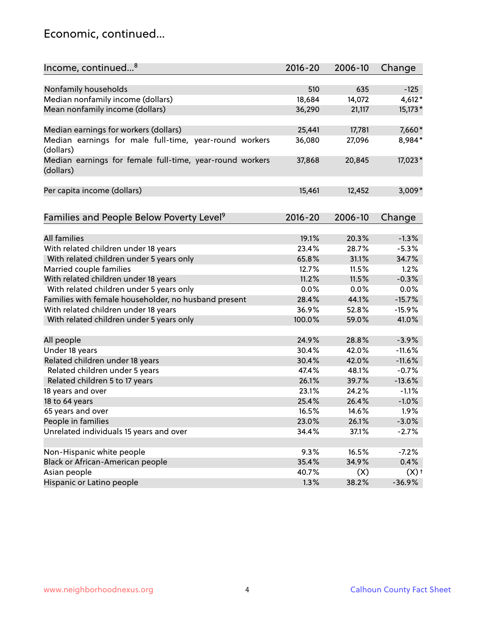### Economic, continued...

| Income, continued <sup>8</sup>                                        | $2016 - 20$ | 2006-10 | Change             |
|-----------------------------------------------------------------------|-------------|---------|--------------------|
|                                                                       |             |         |                    |
| Nonfamily households                                                  | 510         | 635     | $-125$             |
| Median nonfamily income (dollars)                                     | 18,684      | 14,072  | $4,612*$           |
| Mean nonfamily income (dollars)                                       | 36,290      | 21,117  | 15,173*            |
| Median earnings for workers (dollars)                                 | 25,441      | 17,781  | 7,660*             |
| Median earnings for male full-time, year-round workers                | 36,080      | 27,096  | 8,984*             |
| (dollars)                                                             |             |         |                    |
| Median earnings for female full-time, year-round workers<br>(dollars) | 37,868      | 20,845  | 17,023*            |
| Per capita income (dollars)                                           | 15,461      | 12,452  | $3,009*$           |
|                                                                       |             |         |                    |
| Families and People Below Poverty Level <sup>9</sup>                  | 2016-20     | 2006-10 | Change             |
|                                                                       |             |         |                    |
| <b>All families</b>                                                   | 19.1%       | 20.3%   | $-1.3%$            |
| With related children under 18 years                                  | 23.4%       | 28.7%   | $-5.3%$            |
| With related children under 5 years only                              | 65.8%       | 31.1%   | 34.7%              |
| Married couple families                                               | 12.7%       | 11.5%   | 1.2%               |
| With related children under 18 years                                  | 11.2%       | 11.5%   | $-0.3%$            |
| With related children under 5 years only                              | 0.0%        | 0.0%    | 0.0%               |
| Families with female householder, no husband present                  | 28.4%       | 44.1%   | $-15.7%$           |
| With related children under 18 years                                  | 36.9%       | 52.8%   | $-15.9%$           |
| With related children under 5 years only                              | 100.0%      | 59.0%   | 41.0%              |
| All people                                                            | 24.9%       | 28.8%   | $-3.9%$            |
| Under 18 years                                                        | 30.4%       | 42.0%   | $-11.6%$           |
| Related children under 18 years                                       | 30.4%       | 42.0%   | $-11.6%$           |
| Related children under 5 years                                        | 47.4%       | 48.1%   | $-0.7%$            |
| Related children 5 to 17 years                                        | 26.1%       | 39.7%   | $-13.6%$           |
| 18 years and over                                                     | 23.1%       | 24.2%   | $-1.1%$            |
| 18 to 64 years                                                        | 25.4%       | 26.4%   | $-1.0%$            |
| 65 years and over                                                     | 16.5%       | 14.6%   | 1.9%               |
| People in families                                                    | 23.0%       | 26.1%   | $-3.0%$            |
| Unrelated individuals 15 years and over                               | 34.4%       | 37.1%   | $-2.7%$            |
|                                                                       |             |         |                    |
| Non-Hispanic white people                                             | 9.3%        | 16.5%   | $-7.2%$            |
| Black or African-American people                                      | 35.4%       | 34.9%   | 0.4%               |
| Asian people                                                          | 40.7%       | (X)     | $(X)$ <sup>+</sup> |
| Hispanic or Latino people                                             | 1.3%        | 38.2%   | $-36.9%$           |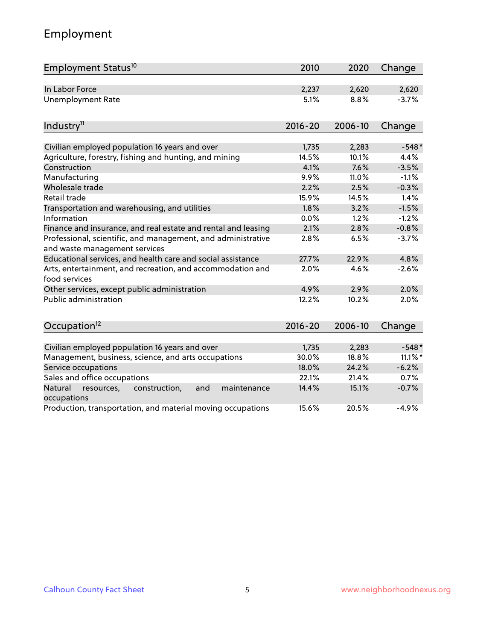# Employment

| Employment Status <sup>10</sup>                                                               | 2010        | 2020    | Change     |
|-----------------------------------------------------------------------------------------------|-------------|---------|------------|
| In Labor Force                                                                                | 2,237       | 2,620   | 2,620      |
| <b>Unemployment Rate</b>                                                                      | 5.1%        | 8.8%    | $-3.7%$    |
| Industry <sup>11</sup>                                                                        | $2016 - 20$ | 2006-10 | Change     |
|                                                                                               |             |         |            |
| Civilian employed population 16 years and over                                                | 1,735       | 2,283   | $-548*$    |
| Agriculture, forestry, fishing and hunting, and mining                                        | 14.5%       | 10.1%   | 4.4%       |
| Construction                                                                                  | 4.1%        | 7.6%    | $-3.5%$    |
| Manufacturing                                                                                 | 9.9%        | 11.0%   | $-1.1%$    |
| Wholesale trade                                                                               | 2.2%        | 2.5%    | $-0.3%$    |
| Retail trade                                                                                  | 15.9%       | 14.5%   | 1.4%       |
| Transportation and warehousing, and utilities                                                 | 1.8%        | 3.2%    | $-1.5%$    |
| Information                                                                                   | 0.0%        | 1.2%    | $-1.2%$    |
| Finance and insurance, and real estate and rental and leasing                                 | 2.1%        | 2.8%    | $-0.8%$    |
| Professional, scientific, and management, and administrative<br>and waste management services | 2.8%        | 6.5%    | $-3.7%$    |
| Educational services, and health care and social assistance                                   | 27.7%       | 22.9%   | 4.8%       |
| Arts, entertainment, and recreation, and accommodation and<br>food services                   | 2.0%        | 4.6%    | $-2.6%$    |
| Other services, except public administration                                                  | 4.9%        | 2.9%    | 2.0%       |
| Public administration                                                                         | 12.2%       | 10.2%   | 2.0%       |
| Occupation <sup>12</sup>                                                                      | $2016 - 20$ | 2006-10 | Change     |
|                                                                                               |             |         |            |
| Civilian employed population 16 years and over                                                | 1,735       | 2,283   | $-548*$    |
| Management, business, science, and arts occupations                                           | 30.0%       | 18.8%   | $11.1\%$ * |
| Service occupations                                                                           | 18.0%       | 24.2%   | $-6.2%$    |
| Sales and office occupations                                                                  | 22.1%       | 21.4%   | 0.7%       |
| Natural<br>construction,<br>and<br>maintenance<br>resources,<br>occupations                   | 14.4%       | 15.1%   | $-0.7%$    |
| Production, transportation, and material moving occupations                                   | 15.6%       | 20.5%   | $-4.9%$    |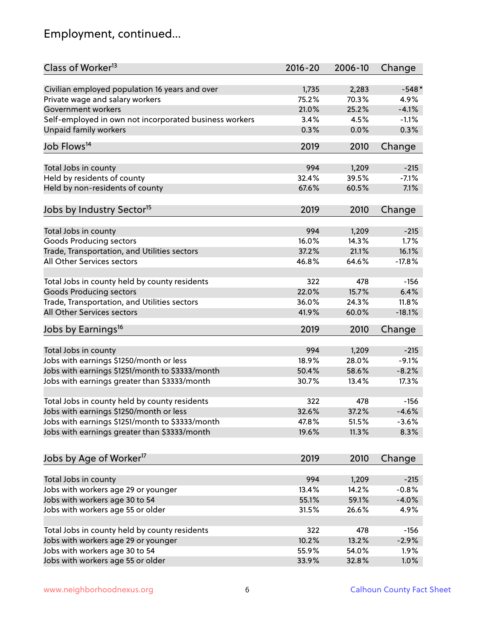# Employment, continued...

| Class of Worker <sup>13</sup>                          | $2016 - 20$ | 2006-10 | Change   |
|--------------------------------------------------------|-------------|---------|----------|
| Civilian employed population 16 years and over         | 1,735       | 2,283   | $-548*$  |
| Private wage and salary workers                        | 75.2%       | 70.3%   | 4.9%     |
| Government workers                                     | 21.0%       | 25.2%   | $-4.1%$  |
| Self-employed in own not incorporated business workers | 3.4%        | 4.5%    | $-1.1%$  |
| Unpaid family workers                                  | 0.3%        | 0.0%    | 0.3%     |
| Job Flows <sup>14</sup>                                | 2019        | 2010    | Change   |
| Total Jobs in county                                   | 994         | 1,209   | $-215$   |
| Held by residents of county                            | 32.4%       | 39.5%   | $-7.1%$  |
|                                                        | 67.6%       |         | 7.1%     |
| Held by non-residents of county                        |             | 60.5%   |          |
| Jobs by Industry Sector <sup>15</sup>                  | 2019        | 2010    | Change   |
| Total Jobs in county                                   | 994         | 1,209   | $-215$   |
| Goods Producing sectors                                | 16.0%       | 14.3%   | 1.7%     |
| Trade, Transportation, and Utilities sectors           | 37.2%       | 21.1%   | 16.1%    |
| All Other Services sectors                             | 46.8%       | 64.6%   | $-17.8%$ |
|                                                        |             |         |          |
| Total Jobs in county held by county residents          | 322         | 478     | $-156$   |
| <b>Goods Producing sectors</b>                         | 22.0%       | 15.7%   | 6.4%     |
| Trade, Transportation, and Utilities sectors           | 36.0%       | 24.3%   | 11.8%    |
| All Other Services sectors                             | 41.9%       | 60.0%   | $-18.1%$ |
| Jobs by Earnings <sup>16</sup>                         | 2019        | 2010    | Change   |
|                                                        | 994         |         | $-215$   |
| Total Jobs in county                                   | 18.9%       | 1,209   |          |
| Jobs with earnings \$1250/month or less                |             | 28.0%   | $-9.1%$  |
| Jobs with earnings \$1251/month to \$3333/month        | 50.4%       | 58.6%   | $-8.2%$  |
| Jobs with earnings greater than \$3333/month           | 30.7%       | 13.4%   | 17.3%    |
| Total Jobs in county held by county residents          | 322         | 478     | $-156$   |
| Jobs with earnings \$1250/month or less                | 32.6%       | 37.2%   | $-4.6%$  |
| Jobs with earnings \$1251/month to \$3333/month        | 47.8%       | 51.5%   | $-3.6\%$ |
| Jobs with earnings greater than \$3333/month           | 19.6%       | 11.3%   | 8.3%     |
|                                                        |             |         |          |
| Jobs by Age of Worker <sup>17</sup>                    | 2019        | 2010    | Change   |
| Total Jobs in county                                   | 994         | 1,209   | $-215$   |
| Jobs with workers age 29 or younger                    | 13.4%       | 14.2%   | $-0.8%$  |
| Jobs with workers age 30 to 54                         | 55.1%       | 59.1%   | $-4.0%$  |
| Jobs with workers age 55 or older                      | 31.5%       | 26.6%   | 4.9%     |
|                                                        |             |         |          |
| Total Jobs in county held by county residents          | 322         | 478     | $-156$   |
| Jobs with workers age 29 or younger                    | 10.2%       | 13.2%   | $-2.9%$  |
| Jobs with workers age 30 to 54                         | 55.9%       | 54.0%   | 1.9%     |
| Jobs with workers age 55 or older                      | 33.9%       | 32.8%   | 1.0%     |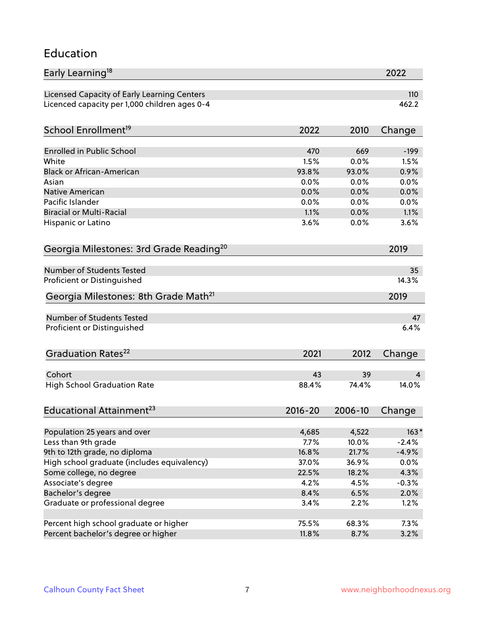#### Education

| Early Learning <sup>18</sup>                        |             |         | 2022    |
|-----------------------------------------------------|-------------|---------|---------|
| Licensed Capacity of Early Learning Centers         |             |         | 110     |
| Licenced capacity per 1,000 children ages 0-4       |             |         | 462.2   |
|                                                     |             |         |         |
| School Enrollment <sup>19</sup>                     | 2022        | 2010    | Change  |
| <b>Enrolled in Public School</b>                    | 470         | 669     | $-199$  |
| White                                               | 1.5%        | 0.0%    | 1.5%    |
| <b>Black or African-American</b>                    | 93.8%       | 93.0%   | 0.9%    |
| Asian                                               | 0.0%        | 0.0%    | 0.0%    |
| Native American                                     | 0.0%        | 0.0%    | 0.0%    |
| Pacific Islander                                    | 0.0%        | 0.0%    | 0.0%    |
| <b>Biracial or Multi-Racial</b>                     | 1.1%        | 0.0%    | 1.1%    |
| Hispanic or Latino                                  | 3.6%        | 0.0%    | 3.6%    |
|                                                     |             |         |         |
| Georgia Milestones: 3rd Grade Reading <sup>20</sup> |             |         | 2019    |
| <b>Number of Students Tested</b>                    |             |         | 35      |
| Proficient or Distinguished                         |             |         | 14.3%   |
| Georgia Milestones: 8th Grade Math <sup>21</sup>    |             |         | 2019    |
| <b>Number of Students Tested</b>                    |             |         | 47      |
| Proficient or Distinguished                         |             |         | 6.4%    |
|                                                     |             |         |         |
| Graduation Rates <sup>22</sup>                      | 2021        | 2012    | Change  |
|                                                     |             |         |         |
| Cohort                                              | 43          | 39      | 4       |
| <b>High School Graduation Rate</b>                  | 88.4%       | 74.4%   | 14.0%   |
| Educational Attainment <sup>23</sup>                | $2016 - 20$ | 2006-10 | Change  |
|                                                     |             |         |         |
| Population 25 years and over                        | 4,685       | 4,522   | $163*$  |
| Less than 9th grade                                 | 7.7%        | 10.0%   | $-2.4%$ |
| 9th to 12th grade, no diploma                       | 16.8%       | 21.7%   | $-4.9%$ |
| High school graduate (includes equivalency)         | 37.0%       | 36.9%   | $0.0\%$ |
| Some college, no degree                             | 22.5%       | 18.2%   | 4.3%    |
| Associate's degree                                  | 4.2%        | 4.5%    | $-0.3%$ |
| Bachelor's degree                                   | 8.4%        | 6.5%    | 2.0%    |
| Graduate or professional degree                     | 3.4%        | 2.2%    | 1.2%    |
| Percent high school graduate or higher              | 75.5%       | 68.3%   | 7.3%    |
| Percent bachelor's degree or higher                 | 11.8%       | 8.7%    | 3.2%    |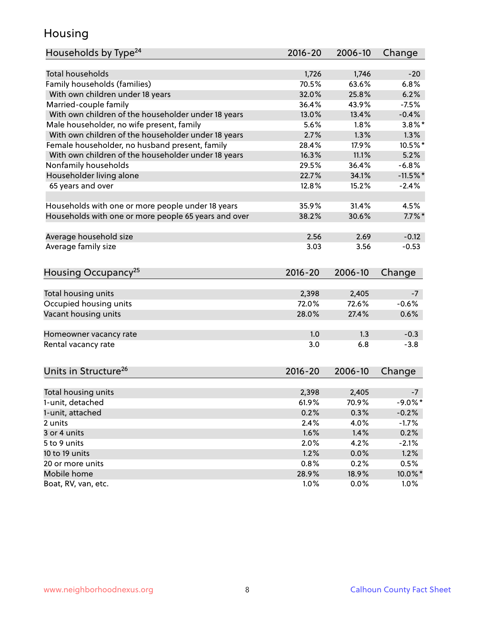### Housing

| Households by Type <sup>24</sup>                     | 2016-20       | 2006-10       | Change         |
|------------------------------------------------------|---------------|---------------|----------------|
|                                                      |               |               |                |
| <b>Total households</b>                              | 1,726         | 1,746         | $-20$          |
| Family households (families)                         | 70.5%         | 63.6%         | 6.8%           |
| With own children under 18 years                     | 32.0%         | 25.8%         | 6.2%           |
| Married-couple family                                | 36.4%         | 43.9%         | $-7.5%$        |
| With own children of the householder under 18 years  | 13.0%         | 13.4%         | $-0.4%$        |
| Male householder, no wife present, family            | 5.6%          | 1.8%          | $3.8\%$ *      |
| With own children of the householder under 18 years  | 2.7%          | 1.3%          | 1.3%           |
| Female householder, no husband present, family       | 28.4%         | 17.9%         | 10.5%*         |
| With own children of the householder under 18 years  | 16.3%         | 11.1%         | 5.2%           |
| Nonfamily households                                 | 29.5%         | 36.4%         | $-6.8%$        |
| Householder living alone                             | 22.7%         | 34.1%         | $-11.5%$       |
| 65 years and over                                    | 12.8%         | 15.2%         | $-2.4%$        |
| Households with one or more people under 18 years    | 35.9%         | 31.4%         | 4.5%           |
| Households with one or more people 65 years and over | 38.2%         | 30.6%         | $7.7\%$ *      |
|                                                      |               |               |                |
| Average household size                               | 2.56          | 2.69          | $-0.12$        |
| Average family size                                  | 3.03          | 3.56          | $-0.53$        |
| Housing Occupancy <sup>25</sup>                      | $2016 - 20$   | 2006-10       | Change         |
|                                                      |               |               |                |
| Total housing units                                  | 2,398         | 2,405         | $-7$           |
| Occupied housing units                               | 72.0%         | 72.6%         | $-0.6%$        |
| Vacant housing units                                 | 28.0%         | 27.4%         | 0.6%           |
| Homeowner vacancy rate                               | 1.0           | 1.3           | $-0.3$         |
| Rental vacancy rate                                  | 3.0           | 6.8           | $-3.8$         |
|                                                      |               |               |                |
| Units in Structure <sup>26</sup>                     | $2016 - 20$   | 2006-10       | Change         |
| Total housing units                                  | 2,398         | 2,405         | -7             |
| 1-unit, detached                                     | 61.9%         | 70.9%         | $-9.0\%$ *     |
| 1-unit, attached                                     | 0.2%          | 0.3%          | $-0.2%$        |
| 2 units                                              | 2.4%          | 4.0%          | $-1.7%$        |
| 3 or 4 units                                         | 1.6%          | 1.4%          | 0.2%           |
| 5 to 9 units                                         | 2.0%          | 4.2%          | $-2.1%$        |
|                                                      | 1.2%          |               | 1.2%           |
| 10 to 19 units                                       |               | 0.0%          |                |
| 20 or more units<br>Mobile home                      | 0.8%<br>28.9% | 0.2%<br>18.9% | 0.5%<br>10.0%* |
| Boat, RV, van, etc.                                  | 1.0%          | 0.0%          | $1.0\%$        |
|                                                      |               |               |                |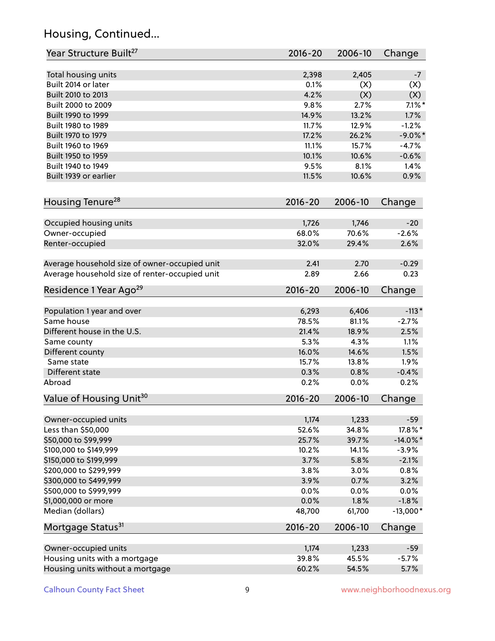# Housing, Continued...

| Year Structure Built <sup>27</sup>             | 2016-20        | 2006-10        | Change           |
|------------------------------------------------|----------------|----------------|------------------|
|                                                |                |                |                  |
| Total housing units<br>Built 2014 or later     | 2,398<br>0.1%  | 2,405<br>(X)   | $-7$<br>(X)      |
| Built 2010 to 2013                             | 4.2%           | (X)            | (X)              |
| Built 2000 to 2009                             | 9.8%           | 2.7%           | $7.1\%$ *        |
|                                                | 14.9%          | 13.2%          | 1.7%             |
| Built 1990 to 1999                             |                |                | $-1.2%$          |
| Built 1980 to 1989                             | 11.7%          | 12.9%          |                  |
| Built 1970 to 1979<br>Built 1960 to 1969       | 17.2%          | 26.2%<br>15.7% | $-9.0\%$ *       |
|                                                | 11.1%          |                | $-4.7%$          |
| Built 1950 to 1959                             | 10.1%          | 10.6%          | $-0.6%$          |
| Built 1940 to 1949                             | 9.5%           | 8.1%           | 1.4%             |
| Built 1939 or earlier                          | 11.5%          | 10.6%          | 0.9%             |
| Housing Tenure <sup>28</sup>                   | 2016-20        | 2006-10        | Change           |
|                                                |                |                |                  |
| Occupied housing units                         | 1,726<br>68.0% | 1,746<br>70.6% | $-20$<br>$-2.6%$ |
| Owner-occupied                                 | 32.0%          | 29.4%          | 2.6%             |
| Renter-occupied                                |                |                |                  |
| Average household size of owner-occupied unit  | 2.41           | 2.70           | $-0.29$          |
| Average household size of renter-occupied unit | 2.89           | 2.66           | 0.23             |
| Residence 1 Year Ago <sup>29</sup>             | 2016-20        | 2006-10        | Change           |
|                                                | 6,293          | 6,406          | $-113*$          |
| Population 1 year and over<br>Same house       | 78.5%          | 81.1%          | $-2.7%$          |
|                                                |                |                |                  |
| Different house in the U.S.                    | 21.4%          | 18.9%          | 2.5%             |
| Same county                                    | 5.3%           | 4.3%           | 1.1%             |
| Different county                               | 16.0%          | 14.6%          | 1.5%             |
| Same state                                     | 15.7%          | 13.8%          | 1.9%             |
| Different state<br>Abroad                      | 0.3%<br>0.2%   | 0.8%<br>0.0%   | $-0.4%$<br>0.2%  |
|                                                |                |                |                  |
| Value of Housing Unit <sup>30</sup>            | 2016-20        | 2006-10        | Change           |
| Owner-occupied units                           | 1,174          | 1,233          | $-59$            |
| Less than \$50,000                             | 52.6%          | 34.8%          | 17.8%*           |
| \$50,000 to \$99,999                           | 25.7%          | 39.7%          | $-14.0\%$ *      |
| \$100,000 to \$149,999                         | 10.2%          | 14.1%          | $-3.9%$          |
| \$150,000 to \$199,999                         | 3.7%           | 5.8%           | $-2.1%$          |
| \$200,000 to \$299,999                         | 3.8%           | 3.0%           | 0.8%             |
| \$300,000 to \$499,999                         | 3.9%           | 0.7%           | 3.2%             |
| \$500,000 to \$999,999                         | 0.0%           | 0.0%           | $0.0\%$          |
| \$1,000,000 or more                            | 0.0%           | 1.8%           | $-1.8%$          |
| Median (dollars)                               | 48,700         | 61,700         | $-13,000*$       |
| Mortgage Status <sup>31</sup>                  | 2016-20        | 2006-10        | Change           |
|                                                |                |                |                  |
| Owner-occupied units                           | 1,174          | 1,233          | $-59$            |
| Housing units with a mortgage                  | 39.8%          | 45.5%          | $-5.7%$          |
| Housing units without a mortgage               | 60.2%          | 54.5%          | 5.7%             |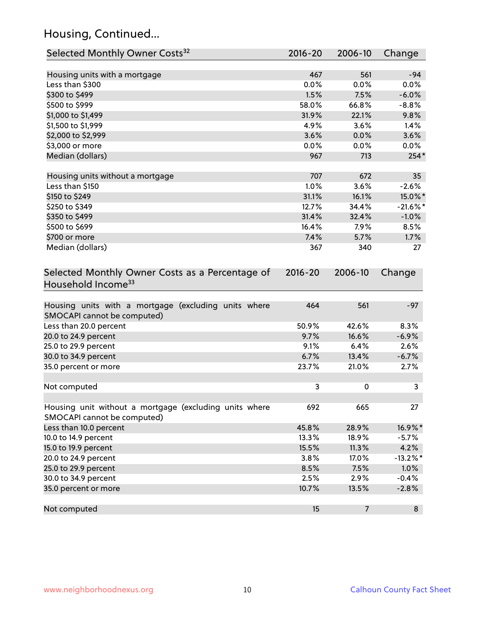# Housing, Continued...

| Selected Monthly Owner Costs <sup>32</sup>                                            | 2016-20     | 2006-10                  | Change      |
|---------------------------------------------------------------------------------------|-------------|--------------------------|-------------|
| Housing units with a mortgage                                                         | 467         | 561                      | $-94$       |
| Less than \$300                                                                       | 0.0%        | 0.0%                     | 0.0%        |
| \$300 to \$499                                                                        | 1.5%        | 7.5%                     | $-6.0%$     |
| \$500 to \$999                                                                        | 58.0%       | 66.8%                    | $-8.8%$     |
| \$1,000 to \$1,499                                                                    | 31.9%       | 22.1%                    | 9.8%        |
| \$1,500 to \$1,999                                                                    | 4.9%        | 3.6%                     | 1.4%        |
| \$2,000 to \$2,999                                                                    | 3.6%        | 0.0%                     | 3.6%        |
| \$3,000 or more                                                                       | 0.0%        | 0.0%                     | 0.0%        |
| Median (dollars)                                                                      | 967         | 713                      | 254*        |
|                                                                                       |             |                          |             |
| Housing units without a mortgage                                                      | 707         | 672                      | 35          |
| Less than \$150                                                                       | 1.0%        | 3.6%                     | $-2.6%$     |
| \$150 to \$249                                                                        | 31.1%       | 16.1%                    | 15.0%*      |
| \$250 to \$349                                                                        | 12.7%       | 34.4%                    | $-21.6%$ *  |
| \$350 to \$499                                                                        | 31.4%       | 32.4%                    | $-1.0%$     |
| \$500 to \$699                                                                        | 16.4%       | 7.9%                     | 8.5%        |
| \$700 or more                                                                         | 7.4%        | 5.7%                     | 1.7%        |
| Median (dollars)                                                                      | 367         | 340                      | 27          |
| Selected Monthly Owner Costs as a Percentage of<br>Household Income <sup>33</sup>     | $2016 - 20$ | 2006-10                  | Change      |
| Housing units with a mortgage (excluding units where<br>SMOCAPI cannot be computed)   | 464         | 561                      | $-97$       |
| Less than 20.0 percent                                                                | 50.9%       | 42.6%                    | 8.3%        |
| 20.0 to 24.9 percent                                                                  | 9.7%        | 16.6%                    | $-6.9%$     |
| 25.0 to 29.9 percent                                                                  | 9.1%        | 6.4%                     | 2.6%        |
| 30.0 to 34.9 percent                                                                  | 6.7%        | 13.4%                    | $-6.7%$     |
| 35.0 percent or more                                                                  | 23.7%       | 21.0%                    | 2.7%        |
| Not computed                                                                          | 3           | 0                        | 3           |
| Housing unit without a mortgage (excluding units where<br>SMOCAPI cannot be computed) | 692         | 665                      | 27          |
| Less than 10.0 percent                                                                | 45.8%       | 28.9%                    | 16.9%*      |
| 10.0 to 14.9 percent                                                                  | 13.3%       | 18.9%                    | $-5.7%$     |
| 15.0 to 19.9 percent                                                                  | 15.5%       | 11.3%                    | 4.2%        |
| 20.0 to 24.9 percent                                                                  | 3.8%        | 17.0%                    | $-13.2\%$ * |
| 25.0 to 29.9 percent                                                                  | 8.5%        | 7.5%                     | 1.0%        |
| 30.0 to 34.9 percent                                                                  | 2.5%        | 2.9%                     | $-0.4%$     |
| 35.0 percent or more                                                                  | 10.7%       | 13.5%                    | $-2.8%$     |
| Not computed                                                                          | 15          | $\overline{\phantom{a}}$ | 8           |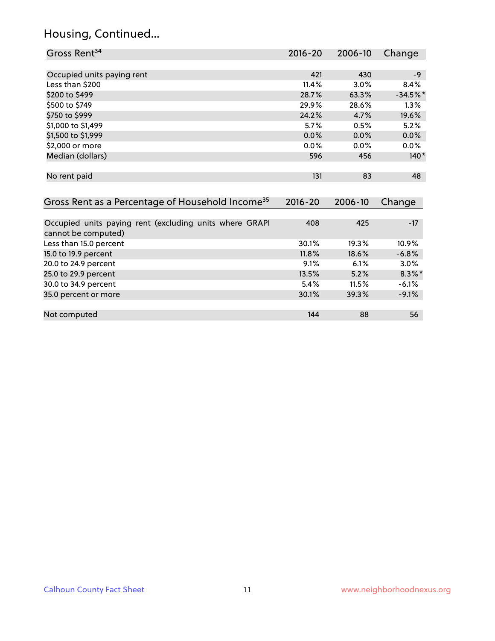### Housing, Continued...

| Gross Rent <sup>34</sup>                                                       | $2016 - 20$ | $2006 - 10$ | Change     |
|--------------------------------------------------------------------------------|-------------|-------------|------------|
|                                                                                |             |             |            |
| Occupied units paying rent                                                     | 421         | 430         | $-9$       |
| Less than \$200                                                                | 11.4%       | 3.0%        | 8.4%       |
| \$200 to \$499                                                                 | 28.7%       | 63.3%       | $-34.5%$ * |
| \$500 to \$749                                                                 | 29.9%       | 28.6%       | $1.3\%$    |
| \$750 to \$999                                                                 | 24.2%       | 4.7%        | 19.6%      |
| \$1,000 to \$1,499                                                             | 5.7%        | 0.5%        | 5.2%       |
| \$1,500 to \$1,999                                                             | 0.0%        | 0.0%        | $0.0\%$    |
| \$2,000 or more                                                                | $0.0\%$     | 0.0%        | $0.0\%$    |
| Median (dollars)                                                               | 596         | 456         | $140*$     |
| No rent paid                                                                   | 131         | 83          | 48         |
| Gross Rent as a Percentage of Household Income <sup>35</sup>                   | $2016 - 20$ | 2006-10     | Change     |
| Occupied units paying rent (excluding units where GRAPI<br>cannot be computed) | 408         | 425         | $-17$      |
| Less than 15.0 percent                                                         | 30.1%       | 19.3%       | 10.9%      |
| 15.0 to 19.9 percent                                                           | 11.8%       | 18.6%       | $-6.8%$    |
| 20.0 to 24.9 percent                                                           | 9.1%        | 6.1%        | $3.0\%$    |
| 25.0 to 29.9 percent                                                           | 13.5%       | 5.2%        | $8.3\%$ *  |
| 30.0 to 34.9 percent                                                           | 5.4%        | 11.5%       | $-6.1%$    |
| 35.0 percent or more                                                           | 30.1%       | 39.3%       | $-9.1%$    |

Not computed and the set of the set of the set of the set of the set of the set of the set of the set of the set of the set of the set of the set of the set of the set of the set of the set of the set of the set of the set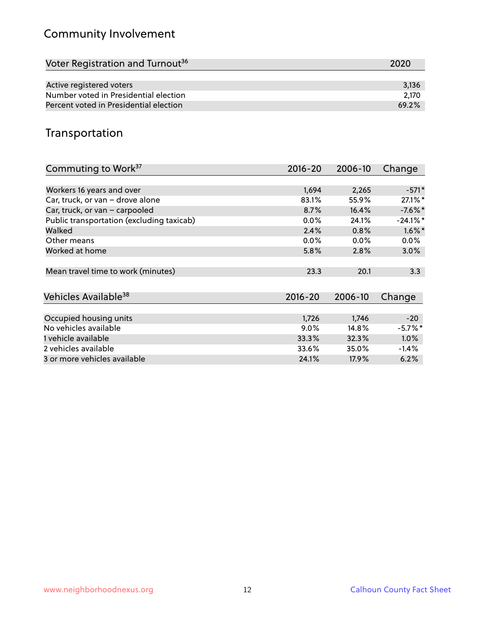# Community Involvement

| Voter Registration and Turnout <sup>36</sup> | 2020  |
|----------------------------------------------|-------|
|                                              |       |
| Active registered voters                     | 3.136 |
| Number voted in Presidential election        | 2.170 |
| Percent voted in Presidential election       | 69.2% |

## Transportation

| Commuting to Work <sup>37</sup>           | 2016-20     | 2006-10 | Change      |
|-------------------------------------------|-------------|---------|-------------|
|                                           |             |         |             |
| Workers 16 years and over                 | 1,694       | 2,265   | $-571*$     |
| Car, truck, or van - drove alone          | 83.1%       | 55.9%   | 27.1%*      |
| Car, truck, or van - carpooled            | 8.7%        | 16.4%   | $-7.6\%$ *  |
| Public transportation (excluding taxicab) | $0.0\%$     | 24.1%   | $-24.1\%$ * |
| Walked                                    | 2.4%        | 0.8%    | $1.6\%$ *   |
| Other means                               | $0.0\%$     | $0.0\%$ | $0.0\%$     |
| Worked at home                            | 5.8%        | 2.8%    | 3.0%        |
|                                           |             |         |             |
| Mean travel time to work (minutes)        | 23.3        | 20.1    | 3.3         |
|                                           |             |         |             |
| Vehicles Available <sup>38</sup>          | $2016 - 20$ | 2006-10 | Change      |
|                                           |             |         |             |
| Occupied housing units                    | 1,726       | 1,746   | $-20$       |
| No vehicles available                     | $9.0\%$     | 14.8%   | $-5.7\%$ *  |
| 1 vehicle available                       | 33.3%       | 32.3%   | 1.0%        |
| 2 vehicles available                      | 33.6%       | 35.0%   | $-1.4%$     |
| 3 or more vehicles available              | 24.1%       | 17.9%   | 6.2%        |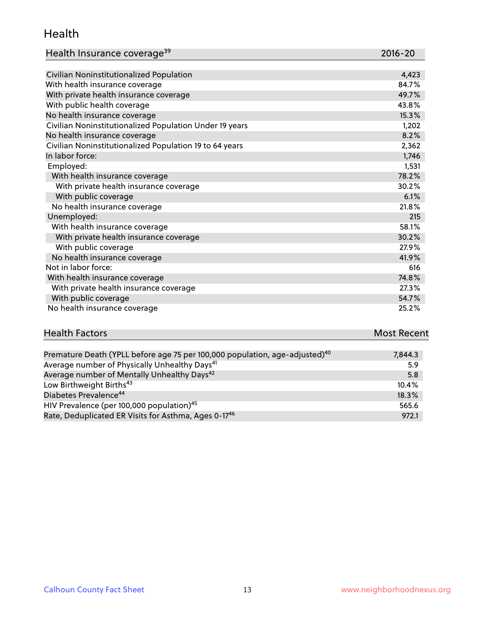#### Health

| Health Insurance coverage <sup>39</sup> | 2016-20 |
|-----------------------------------------|---------|
|-----------------------------------------|---------|

| Civilian Noninstitutionalized Population                | 4,423 |
|---------------------------------------------------------|-------|
| With health insurance coverage                          | 84.7% |
| With private health insurance coverage                  | 49.7% |
| With public health coverage                             | 43.8% |
| No health insurance coverage                            | 15.3% |
| Civilian Noninstitutionalized Population Under 19 years | 1,202 |
| No health insurance coverage                            | 8.2%  |
| Civilian Noninstitutionalized Population 19 to 64 years | 2,362 |
| In labor force:                                         | 1,746 |
| Employed:                                               | 1,531 |
| With health insurance coverage                          | 78.2% |
| With private health insurance coverage                  | 30.2% |
| With public coverage                                    | 6.1%  |
| No health insurance coverage                            | 21.8% |
| Unemployed:                                             | 215   |
| With health insurance coverage                          | 58.1% |
| With private health insurance coverage                  | 30.2% |
| With public coverage                                    | 27.9% |
| No health insurance coverage                            | 41.9% |
| Not in labor force:                                     | 616   |
| With health insurance coverage                          | 74.8% |
| With private health insurance coverage                  | 27.3% |
| With public coverage                                    | 54.7% |
| No health insurance coverage                            | 25.2% |

| <b>Health Factors</b> | <b>Most Recent</b> |
|-----------------------|--------------------|
|                       |                    |

| Premature Death (YPLL before age 75 per 100,000 population, age-adjusted) <sup>40</sup> | 7,844.3  |
|-----------------------------------------------------------------------------------------|----------|
| Average number of Physically Unhealthy Days <sup>41</sup>                               | 5.9      |
| Average number of Mentally Unhealthy Days <sup>42</sup>                                 | 5.8      |
| Low Birthweight Births <sup>43</sup>                                                    | $10.4\%$ |
| Diabetes Prevalence <sup>44</sup>                                                       | 18.3%    |
| HIV Prevalence (per 100,000 population) <sup>45</sup>                                   | 565.6    |
| Rate, Deduplicated ER Visits for Asthma, Ages 0-17 <sup>46</sup>                        | 972.1    |